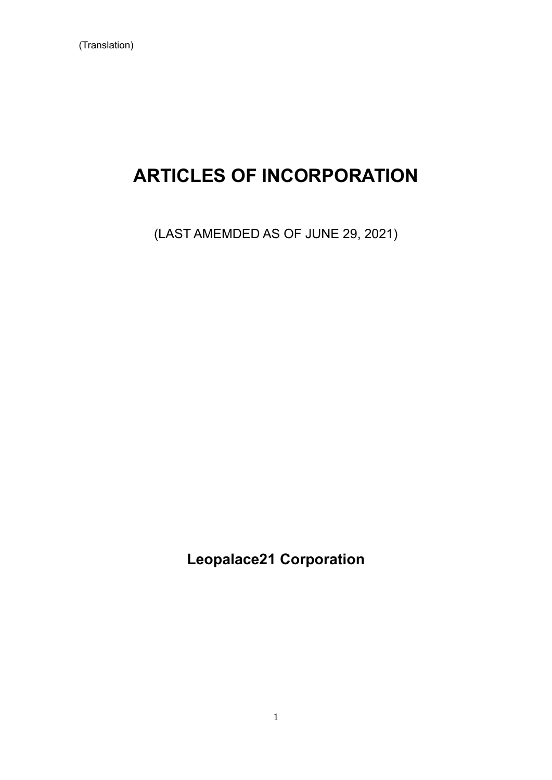# **ARTICLES OF INCORPORATION**

(LAST AMEMDED AS OF JUNE 29, 2021)

**Leopalace21 Corporation**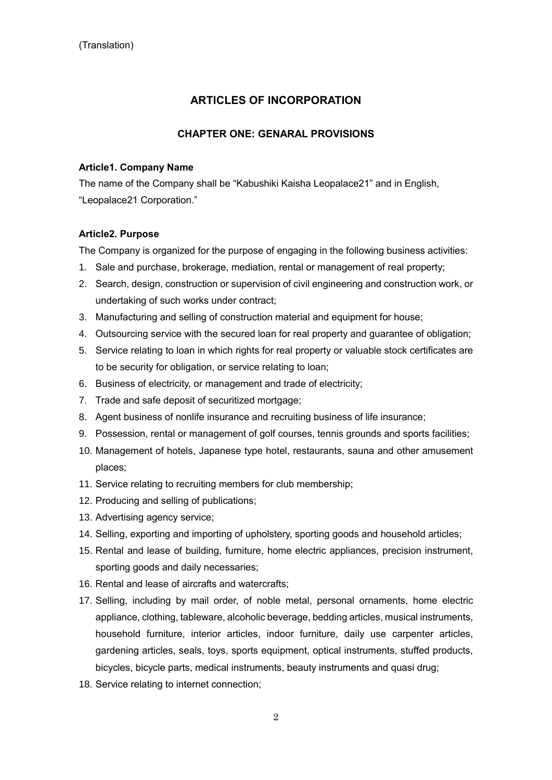# **ARTICLES OF INCORPORATION**

# **CHAPTER ONE: GENARAL PROVISIONS**

#### **Article1. Company Name**

The name of the Company shall be "Kabushiki Kaisha Leopalace21" and in English, "Leopalace21 Corporation."

#### **Article2. Purpose**

The Company is organized for the purpose of engaging in the following business activities:

- 1. Sale and purchase, brokerage, mediation, rental or management of real property;
- 2. Search, design, construction or supervision of civil engineering and construction work, or undertaking of such works under contract;
- 3. Manufacturing and selling of construction material and equipment for house;
- 4. Outsourcing service with the secured loan for real property and guarantee of obligation;
- 5. Service relating to loan in which rights for real property or valuable stock certificates are to be security for obligation, or service relating to loan;
- 6. Business of electricity, or management and trade of electricity;
- 7. Trade and safe deposit of securitized mortgage;
- 8. Agent business of nonlife insurance and recruiting business of life insurance;
- 9. Possession, rental or management of golf courses, tennis grounds and sports facilities;
- 10. Management of hotels, Japanese type hotel, restaurants, sauna and other amusement places;
- 11. Service relating to recruiting members for club membership;
- 12. Producing and selling of publications;
- 13. Advertising agency service;
- 14. Selling, exporting and importing of upholstery, sporting goods and household articles;
- 15. Rental and lease of building, furniture, home electric appliances, precision instrument, sporting goods and daily necessaries;
- 16. Rental and lease of aircrafts and watercrafts;
- 17. Selling, including by mail order, of noble metal, personal ornaments, home electric appliance, clothing, tableware, alcoholic beverage, bedding articles, musical instruments, household furniture, interior articles, indoor furniture, daily use carpenter articles, gardening articles, seals, toys, sports equipment, optical instruments, stuffed products, bicycles, bicycle parts, medical instruments, beauty instruments and quasi drug;
- 18. Service relating to internet connection;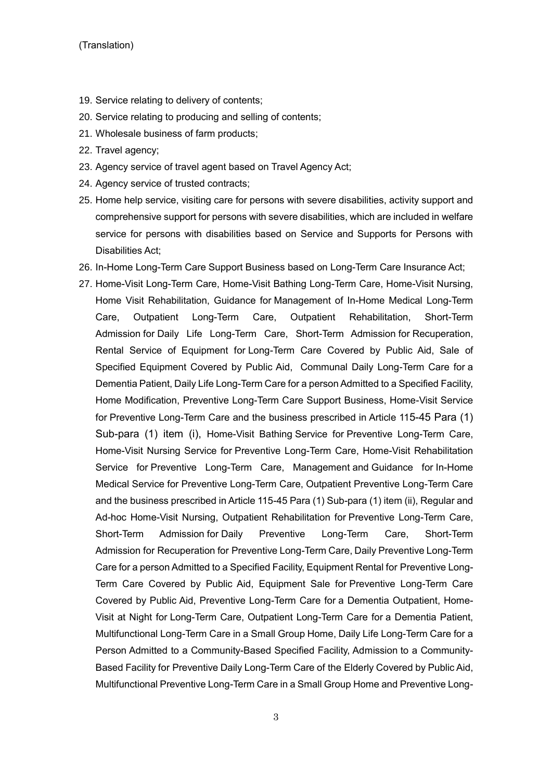#### (Translation)

- 19. Service relating to delivery of contents;
- 20. Service relating to producing and selling of contents;
- 21. Wholesale business of farm products;
- 22. Travel agency;
- 23. Agency service of travel agent based on Travel Agency Act;
- 24. Agency service of trusted contracts;
- 25. Home help service, visiting care for persons with severe disabilities, activity support and comprehensive support for persons with severe disabilities, which are included in welfare service for persons with disabilities based on Service and Supports for Persons with Disabilities Act;
- 26. In-Home Long-Term Care Support Business based on Long-Term Care Insurance Act;
- 27. Home-Visit Long-Term Care, Home-Visit Bathing Long-Term Care, Home-Visit Nursing, Home Visit Rehabilitation, Guidance for Management of In-Home Medical Long-Term Care, Outpatient Long-Term Care, Outpatient Rehabilitation, Short-Term Admission for Daily Life Long-Term Care, Short-Term Admission for Recuperation, Rental Service of Equipment for Long-Term Care Covered by Public Aid, Sale of Specified Equipment Covered by Public Aid, Communal Daily Long-Term Care for a Dementia Patient, Daily Life Long-Term Care for a person Admitted to a Specified Facility, Home Modification, Preventive Long-Term Care Support Business, Home-Visit Service for Preventive Long-Term Care and the business prescribed in Article 115-45 Para (1) Sub-para (1) item (i), Home-Visit Bathing Service for Preventive Long-Term Care, Home-Visit Nursing Service for Preventive Long-Term Care, Home-Visit Rehabilitation Service for Preventive Long-Term Care, Management and Guidance for In-Home Medical Service for Preventive Long-Term Care, Outpatient Preventive Long-Term Care and the business prescribed in Article 115-45 Para (1) Sub-para (1) item (ii), Regular and Ad-hoc Home-Visit Nursing, Outpatient Rehabilitation for Preventive Long-Term Care, Short-Term Admission for Daily Preventive Long-Term Care, Short-Term Admission for Recuperation for Preventive Long-Term Care, Daily Preventive Long-Term Care for a person Admitted to a Specified Facility, Equipment Rental for Preventive Long-Term Care Covered by Public Aid, Equipment Sale for Preventive Long-Term Care Covered by Public Aid, Preventive Long-Term Care for a Dementia Outpatient, Home-Visit at Night for Long-Term Care, Outpatient Long-Term Care for a Dementia Patient, Multifunctional Long-Term Care in a Small Group Home, Daily Life Long-Term Care for a Person Admitted to a Community-Based Specified Facility, Admission to a Community-Based Facility for Preventive Daily Long-Term Care of the Elderly Covered by Public Aid, Multifunctional Preventive Long-Term Care in a Small Group Home and Preventive Long-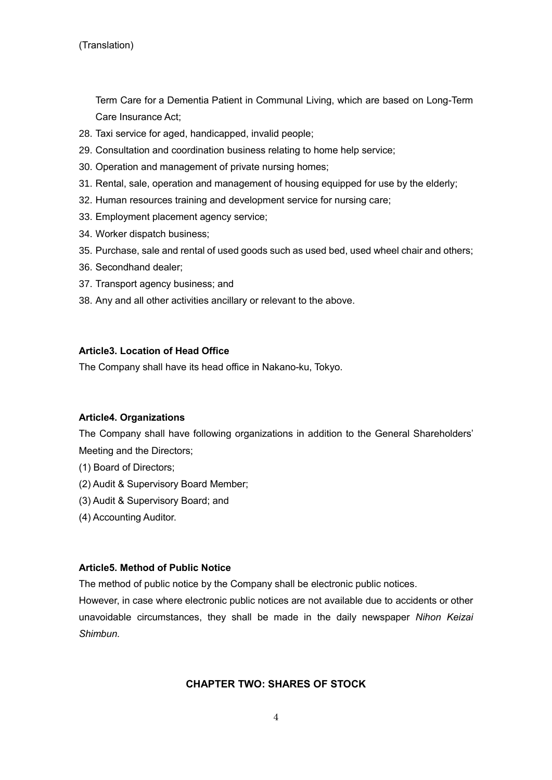(Translation)

Term Care for a Dementia Patient in Communal Living, which are based on Long-Term Care Insurance Act;

- 28. Taxi service for aged, handicapped, invalid people;
- 29. Consultation and coordination business relating to home help service;
- 30. Operation and management of private nursing homes;
- 31. Rental, sale, operation and management of housing equipped for use by the elderly;
- 32. Human resources training and development service for nursing care;
- 33. Employment placement agency service;
- 34. Worker dispatch business;
- 35. Purchase, sale and rental of used goods such as used bed, used wheel chair and others;
- 36. Secondhand dealer;
- 37. Transport agency business; and
- 38. Any and all other activities ancillary or relevant to the above.

# **Article3. Location of Head Office**

The Company shall have its head office in Nakano-ku, Tokyo.

# **Article4. Organizations**

The Company shall have following organizations in addition to the General Shareholders' Meeting and the Directors;

- (1) Board of Directors;
- (2) Audit & Supervisory Board Member;
- (3) Audit & Supervisory Board; and
- (4) Accounting Auditor.

#### **Article5. Method of Public Notice**

The method of public notice by the Company shall be electronic public notices.

However, in case where electronic public notices are not available due to accidents or other unavoidable circumstances, they shall be made in the daily newspaper *Nihon Keizai Shimbun.*

# **CHAPTER TWO: SHARES OF STOCK**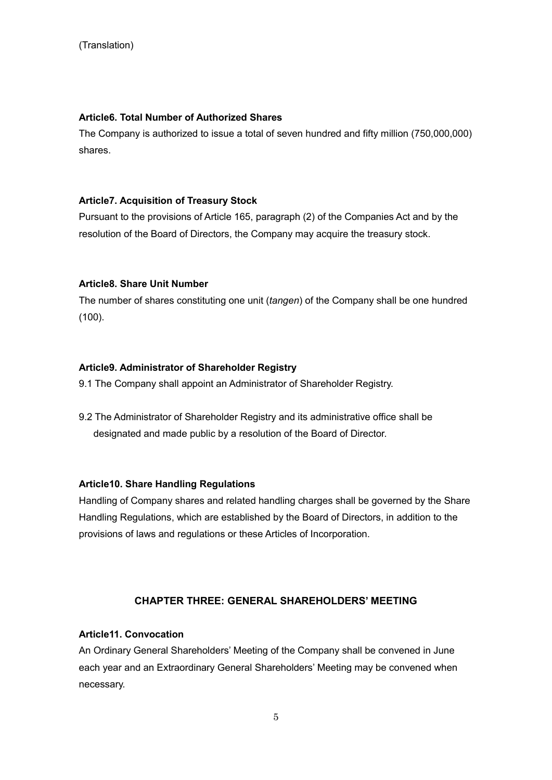# **Article6. Total Number of Authorized Shares**

The Company is authorized to issue a total of seven hundred and fifty million (750,000,000) shares.

# **Article7. Acquisition of Treasury Stock**

Pursuant to the provisions of Article 165, paragraph (2) of the Companies Act and by the resolution of the Board of Directors, the Company may acquire the treasury stock.

# **Article8. Share Unit Number**

The number of shares constituting one unit (*tangen*) of the Company shall be one hundred (100).

# **Article9. Administrator of Shareholder Registry**

9.1 The Company shall appoint an Administrator of Shareholder Registry.

9.2 The Administrator of Shareholder Registry and its administrative office shall be designated and made public by a resolution of the Board of Director.

# **Article10. Share Handling Regulations**

Handling of Company shares and related handling charges shall be governed by the Share Handling Regulations, which are established by the Board of Directors, in addition to the provisions of laws and regulations or these Articles of Incorporation.

# **CHAPTER THREE: GENERAL SHAREHOLDERS' MEETING**

## **Article11. Convocation**

An Ordinary General Shareholders' Meeting of the Company shall be convened in June each year and an Extraordinary General Shareholders' Meeting may be convened when necessary.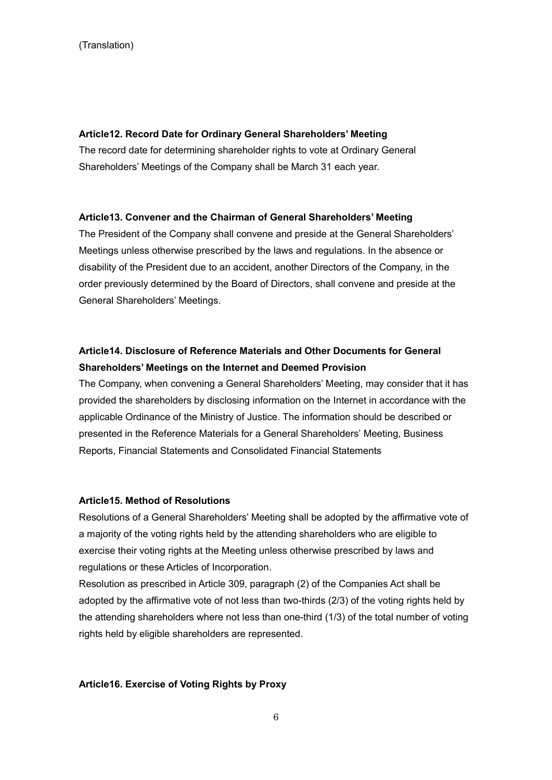#### **Article12. Record Date for Ordinary General Shareholders' Meeting**

The record date for determining shareholder rights to vote at Ordinary General Shareholders' Meetings of the Company shall be March 31 each year.

#### **Article13. Convener and the Chairman of General Shareholders' Meeting**

The President of the Company shall convene and preside at the General Shareholders' Meetings unless otherwise prescribed by the laws and regulations. In the absence or disability of the President due to an accident, another Directors of the Company, in the order previously determined by the Board of Directors, shall convene and preside at the General Shareholders' Meetings.

# **Article14. Disclosure of Reference Materials and Other Documents for General Shareholders' Meetings on the Internet and Deemed Provision**

The Company, when convening a General Shareholders' Meeting, may consider that it has provided the shareholders by disclosing information on the Internet in accordance with the applicable Ordinance of the Ministry of Justice. The information should be described or presented in the Reference Materials for a General Shareholders' Meeting, Business Reports, Financial Statements and Consolidated Financial Statements

#### **Article15. Method of Resolutions**

Resolutions of a General Shareholders' Meeting shall be adopted by the affirmative vote of a majority of the voting rights held by the attending shareholders who are eligible to exercise their voting rights at the Meeting unless otherwise prescribed by laws and regulations or these Articles of Incorporation.

Resolution as prescribed in Article 309, paragraph (2) of the Companies Act shall be adopted by the affirmative vote of not less than two-thirds (2/3) of the voting rights held by the attending shareholders where not less than one-third (1/3) of the total number of voting rights held by eligible shareholders are represented.

#### **Article16. Exercise of Voting Rights by Proxy**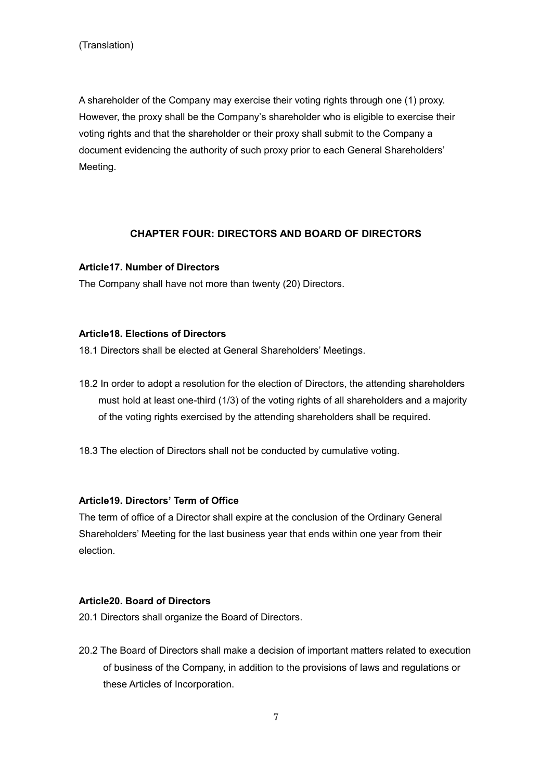A shareholder of the Company may exercise their voting rights through one (1) proxy. However, the proxy shall be the Company's shareholder who is eligible to exercise their voting rights and that the shareholder or their proxy shall submit to the Company a document evidencing the authority of such proxy prior to each General Shareholders' Meeting.

# **CHAPTER FOUR: DIRECTORS AND BOARD OF DIRECTORS**

#### **Article17. Number of Directors**

The Company shall have not more than twenty (20) Directors.

#### **Article18. Elections of Directors**

18.1 Directors shall be elected at General Shareholders' Meetings.

- 18.2 In order to adopt a resolution for the election of Directors, the attending shareholders must hold at least one-third (1/3) of the voting rights of all shareholders and a majority of the voting rights exercised by the attending shareholders shall be required.
- 18.3 The election of Directors shall not be conducted by cumulative voting.

# **Article19. Directors' Term of Office**

The term of office of a Director shall expire at the conclusion of the Ordinary General Shareholders' Meeting for the last business year that ends within one year from their election.

#### **Article20. Board of Directors**

20.1 Directors shall organize the Board of Directors.

20.2 The Board of Directors shall make a decision of important matters related to execution of business of the Company, in addition to the provisions of laws and regulations or these Articles of Incorporation.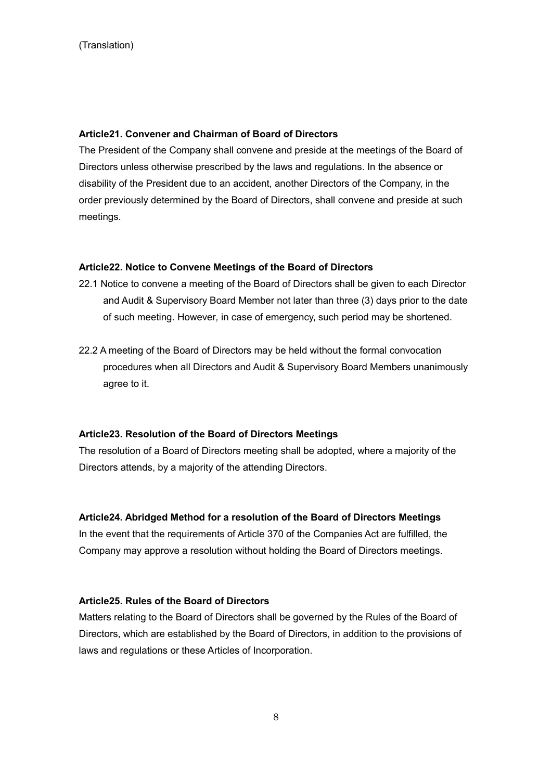#### **Article21. Convener and Chairman of Board of Directors**

The President of the Company shall convene and preside at the meetings of the Board of Directors unless otherwise prescribed by the laws and regulations. In the absence or disability of the President due to an accident, another Directors of the Company, in the order previously determined by the Board of Directors, shall convene and preside at such meetings.

#### **Article22. Notice to Convene Meetings of the Board of Directors**

- 22.1 Notice to convene a meeting of the Board of Directors shall be given to each Director and Audit & Supervisory Board Member not later than three (3) days prior to the date of such meeting. However*,* in case of emergency, such period may be shortened.
- 22.2 A meeting of the Board of Directors may be held without the formal convocation procedures when all Directors and Audit & Supervisory Board Members unanimously agree to it.

#### **Article23. Resolution of the Board of Directors Meetings**

The resolution of a Board of Directors meeting shall be adopted, where a majority of the Directors attends, by a majority of the attending Directors.

#### **Article24. Abridged Method for a resolution of the Board of Directors Meetings**

In the event that the requirements of Article 370 of the Companies Act are fulfilled, the Company may approve a resolution without holding the Board of Directors meetings.

#### **Article25. Rules of the Board of Directors**

Matters relating to the Board of Directors shall be governed by the Rules of the Board of Directors, which are established by the Board of Directors, in addition to the provisions of laws and regulations or these Articles of Incorporation.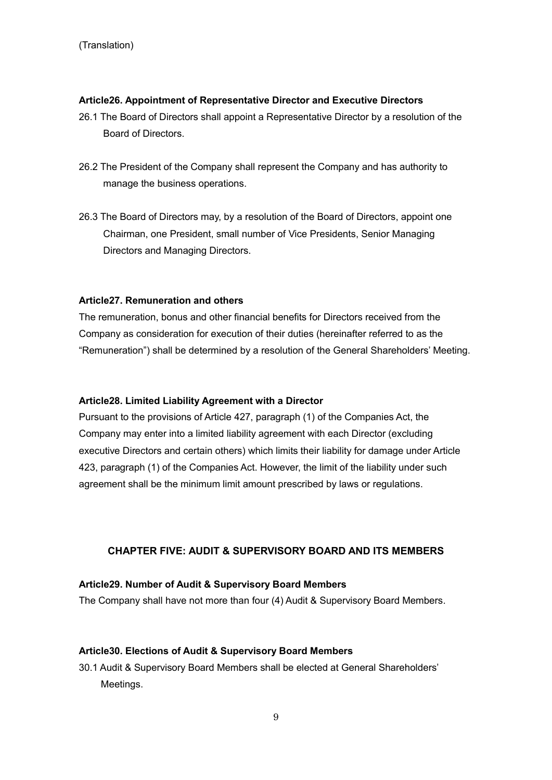# **Article26. Appointment of Representative Director and Executive Directors**

- 26.1 The Board of Directors shall appoint a Representative Director by a resolution of the Board of Directors.
- 26.2 The President of the Company shall represent the Company and has authority to manage the business operations.
- 26.3 The Board of Directors may, by a resolution of the Board of Directors, appoint one Chairman, one President, small number of Vice Presidents, Senior Managing Directors and Managing Directors.

# **Article27. Remuneration and others**

The remuneration, bonus and other financial benefits for Directors received from the Company as consideration for execution of their duties (hereinafter referred to as the "Remuneration") shall be determined by a resolution of the General Shareholders' Meeting.

#### **Article28. Limited Liability Agreement with a Director**

Pursuant to the provisions of Article 427, paragraph (1) of the Companies Act, the Company may enter into a limited liability agreement with each Director (excluding executive Directors and certain others) which limits their liability for damage under Article 423, paragraph (1) of the Companies Act. However, the limit of the liability under such agreement shall be the minimum limit amount prescribed by laws or regulations.

# **CHAPTER FIVE: AUDIT & SUPERVISORY BOARD AND ITS MEMBERS**

#### **Article29. Number of Audit & Supervisory Board Members**

The Company shall have not more than four (4) Audit & Supervisory Board Members.

#### **Article30. Elections of Audit & Supervisory Board Members**

30.1 Audit & Supervisory Board Members shall be elected at General Shareholders' Meetings.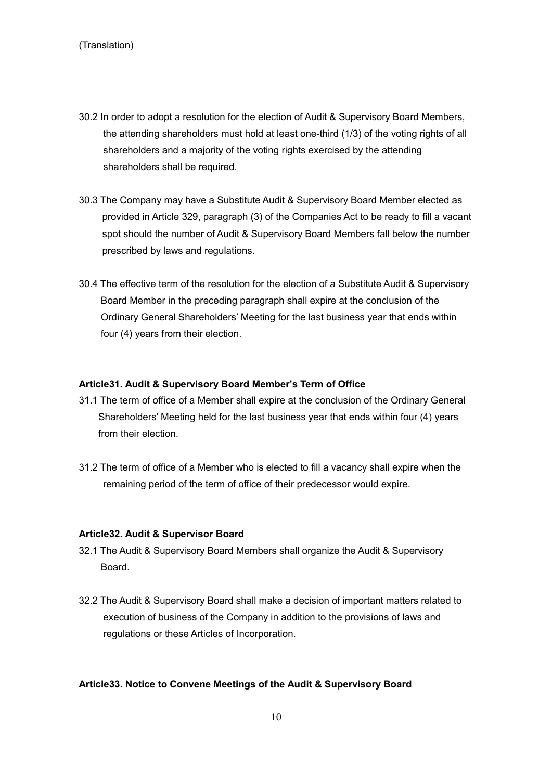- 30.2 In order to adopt a resolution for the election of Audit & Supervisory Board Members, the attending shareholders must hold at least one-third (1/3) of the voting rights of all shareholders and a majority of the voting rights exercised by the attending shareholders shall be required.
- 30.3 The Company may have a Substitute Audit & Supervisory Board Member elected as provided in Article 329, paragraph (3) of the Companies Act to be ready to fill a vacant spot should the number of Audit & Supervisory Board Members fall below the number prescribed by laws and regulations.
- 30.4 The effective term of the resolution for the election of a Substitute Audit & Supervisory Board Member in the preceding paragraph shall expire at the conclusion of the Ordinary General Shareholders' Meeting for the last business year that ends within four (4) years from their election.

#### **Article31. Audit & Supervisory Board Member's Term of Office**

- 31.1 The term of office of a Member shall expire at the conclusion of the Ordinary General Shareholders' Meeting held for the last business year that ends within four (4) years from their election.
- 31.2 The term of office of a Member who is elected to fill a vacancy shall expire when the remaining period of the term of office of their predecessor would expire.

#### **Article32. Audit & Supervisor Board**

- 32.1 The Audit & Supervisory Board Members shall organize the Audit & Supervisory Board.
- 32.2 The Audit & Supervisory Board shall make a decision of important matters related to execution of business of the Company in addition to the provisions of laws and regulations or these Articles of Incorporation.

### **Article33. Notice to Convene Meetings of the Audit & Supervisory Board**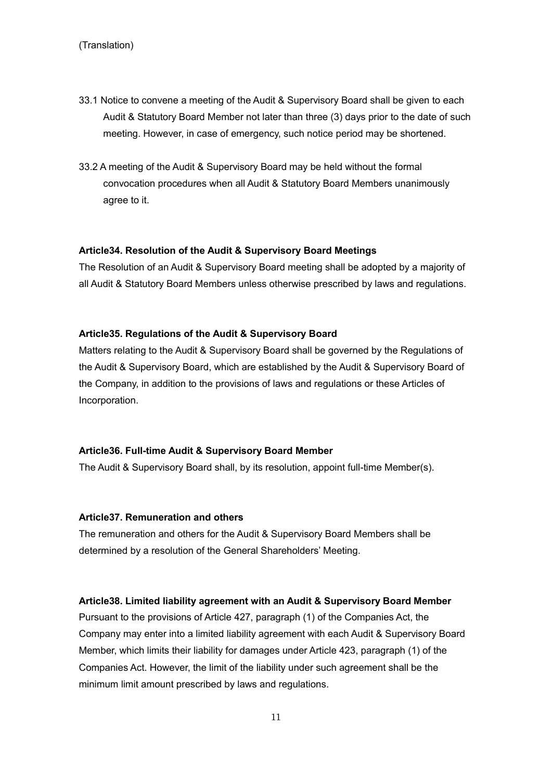- 33.1 Notice to convene a meeting of the Audit & Supervisory Board shall be given to each Audit & Statutory Board Member not later than three (3) days prior to the date of such meeting. However, in case of emergency, such notice period may be shortened.
- 33.2 A meeting of the Audit & Supervisory Board may be held without the formal convocation procedures when all Audit & Statutory Board Members unanimously agree to it.

#### **Article34. Resolution of the Audit & Supervisory Board Meetings**

The Resolution of an Audit & Supervisory Board meeting shall be adopted by a majority of all Audit & Statutory Board Members unless otherwise prescribed by laws and regulations.

#### **Article35. Regulations of the Audit & Supervisory Board**

Matters relating to the Audit & Supervisory Board shall be governed by the Regulations of the Audit & Supervisory Board, which are established by the Audit & Supervisory Board of the Company, in addition to the provisions of laws and regulations or these Articles of Incorporation.

#### **Article36. Full-time Audit & Supervisory Board Member**

The Audit & Supervisory Board shall, by its resolution, appoint full-time Member(s).

#### **Article37. Remuneration and others**

The remuneration and others for the Audit & Supervisory Board Members shall be determined by a resolution of the General Shareholders' Meeting.

#### **Article38. Limited liability agreement with an Audit & Supervisory Board Member**

Pursuant to the provisions of Article 427, paragraph (1) of the Companies Act, the Company may enter into a limited liability agreement with each Audit & Supervisory Board Member, which limits their liability for damages under Article 423, paragraph (1) of the Companies Act. However, the limit of the liability under such agreement shall be the minimum limit amount prescribed by laws and regulations.